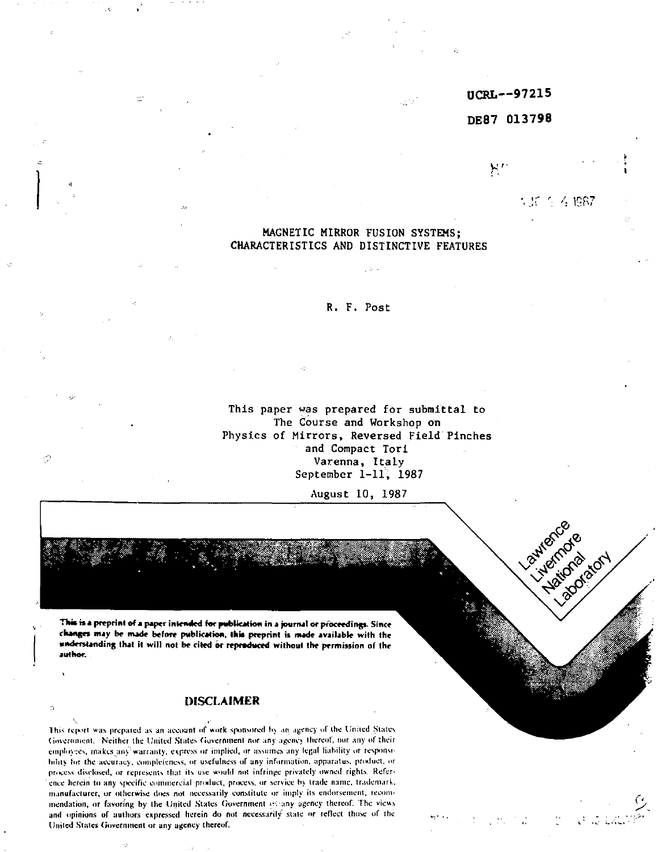# **UCRL—97215**

#### **DE87 013798**

۲.

 $:$  19 $\leq$  19 $\geq$ 

Lawgrand Luisidose Friday Ave.

 $\mathcal{L}$ 

MAGNETIC MIRROR FUSION SYSTEMS; CHARACTERISTICS AND DISTINCTIVE FEATURES

## R. F. Post

This paper was prepared for submittal to The Course and Workshop on Physics of Mirrors, Reversed Field Pinches and Compact Tori Varenna, Italy September 1-11, 1987

August 10, 1987

**This is a preprint of a paper intended for publication in a journal or proceedings. Since changes may be nude before publication, this preprint is nude available with the understanding that it will not be cited or reproduced without the permission of the author.** 

Ó

#### **DISCLAIMER**

This report was prepared as an account of work sponsored *\>\* an agency »if the Uriiied Slates Government. Neither the United States Government nor any agency thereof, nor any of their employees, makes any'warranty, express or implied, or assumes any legal liability or responsibility lor the accuracy, completeness, or usefulness of any information, apparatus, product, or process disclosed, or represents that its use would not infringe privately owned rights. Reference herein to any specific commercial product, process, or service by trade name, trademark. manufacturer, or otherwise does not necessarily constitute or imply its endorsement, recommendation, or favoring by the United States Government of any agency thereof. The views and opinions of authors expressed herein do not necessarily stale or reflect those of the United States Government or any agency thereof.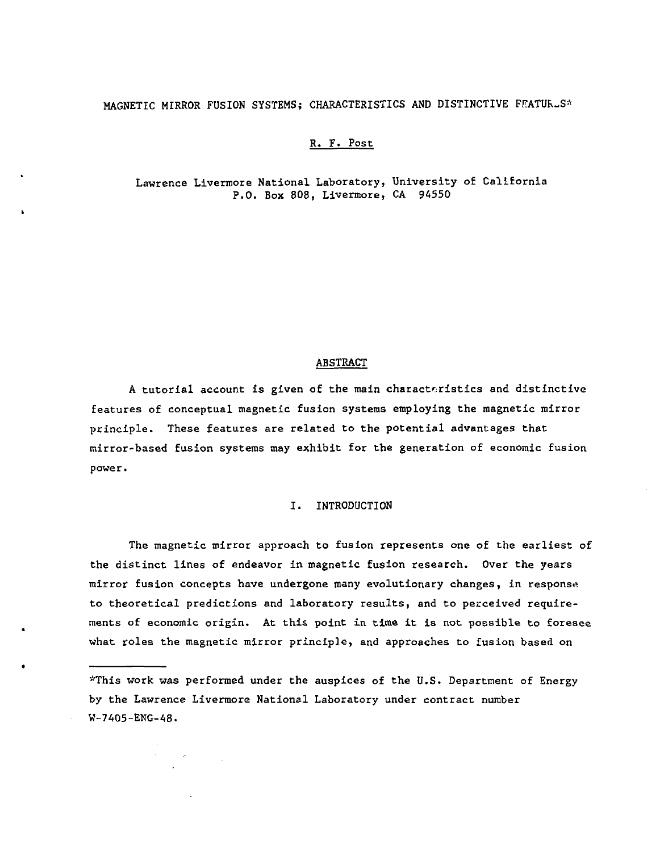# MAGNETIC MIRROR FUSION SYSTEMS; CHARACTERISTICS AND DISTINCTIVE FEATUR.S\*

## R. F. Post

### Lawrence Livermore National Laboratory, University of California P.O. Box 808, Livermore, CA 94550

### ABSTRACT

A tutorial account is given of the main characteristics and distinctive features of conceptual magnetic fusion systems employing the magnetic mirror principle. These features are related to the potential advantages that rairror-based fusion systems may exhibit for the generation of economic fusion power.

### I. INTRODUCTION

The magnetic mirror approach to fusion represents one of the earliest of the distinct lines of endeavor in magnetic fusion research. Over the years mirror fusion concepts have undergone many evolutionary changes, in response to theoretical predictions and laboratory results, and to perceived requirements of economic origin. At this point in time it is not possible to foresee what roles the magnetic mirror principle, and approaches to fusion based on

\*This work was performed under the auspices of the U.S. Department of Energy by the Lawrence Livermore National Laboratory under contract number W-7405-ENG-48.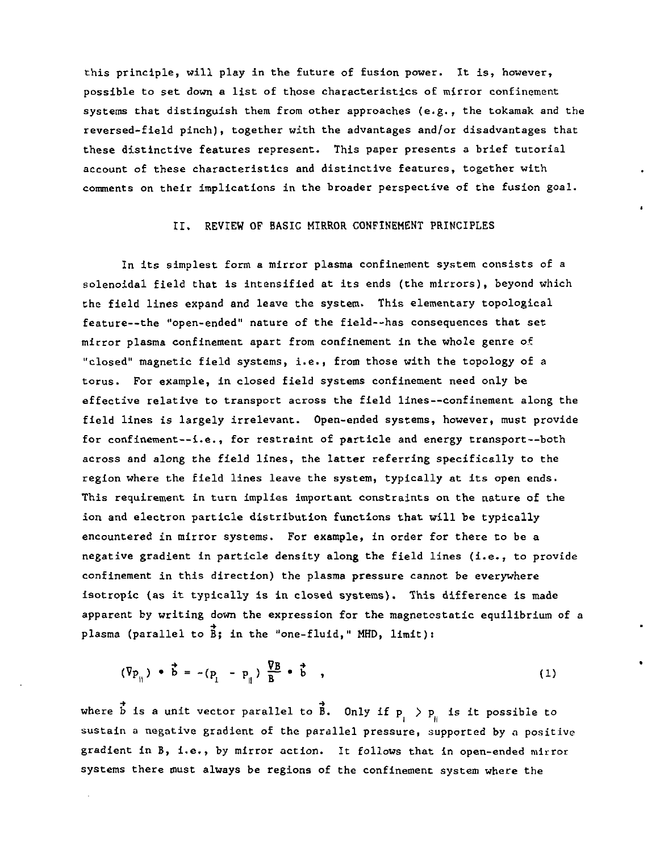this principle, will play in the future of fusion power. It is, however, possible to set down a list of those characteristics of mirror confinement systems that distinguish them from other approaches (e.g., the tokamak and the reversed-field pinch), together with the advantages and/or disadvantages that these distinctive features represent. This paper presents a brief tutorial account of these characteristics and distinctive features, together with comments on their implications in the broader perspective of the fusion goal.

#### II. REVIEW OF BASIC MIRROR CONFINEMENT PRINCIPLES

In its simplest form a mirror plasma confinement system consists of a solenoidal field that is intensified at its ends (the mirrors), beyond which the field lines expand and leave the system. This elementary topological feature—the "open-ended" nature of the field—has consequences that set mirror plasma confinement apart from confinement in the whole genre of "closed" magnetic field systems, i.e., from those with the topology of a torus. For example, in closed field systems confinement need only be effective relative to transport across the field lines—confinement along the field lines is largely irrelevant. Open-ended systems, however, must provide for confinement—i.e., for restraint of particle and energy transport—both across and along the field lines, the latter referring specifically to the region where the field lines leave the system, typically at its open ends. This requirement in turn implies important constraints on the nature of the ion and electron particle distribution functions that will be typically encountered in mirror systems. For example, in order for there to be a negative gradient in particle density along the field lines (i.e., to provide confinement in this direction) the plasma pressure cannot be everywhere isotropic (as it typically is in closed systems). This difference is made apparent by writing down the expression for the magnetostatic equilibrium of a plasma (parallel to  $\vec{B}$ ; in the "one-fluid," MHD, limit):

$$
(\nabla p_{ij}) \bullet \vec{b} = -(p_{i} - p_{ij}) \frac{\nabla B}{B} \bullet \vec{b} , \qquad (1)
$$

•+ -> where  $\mathbf{w}$  is a unit vector parallel to  $\mathbf{w}$  is  $\mathbf{w}$  if  $\mathbf{v}$  if  $\mathbf{v}$  is it possible to sustain a negative gradient of the parallel pressure, supported by *a* positive gradient in B, i.e., by mirror action. It follows that in open-ended mirror systems there must always be regions of the confinement system where the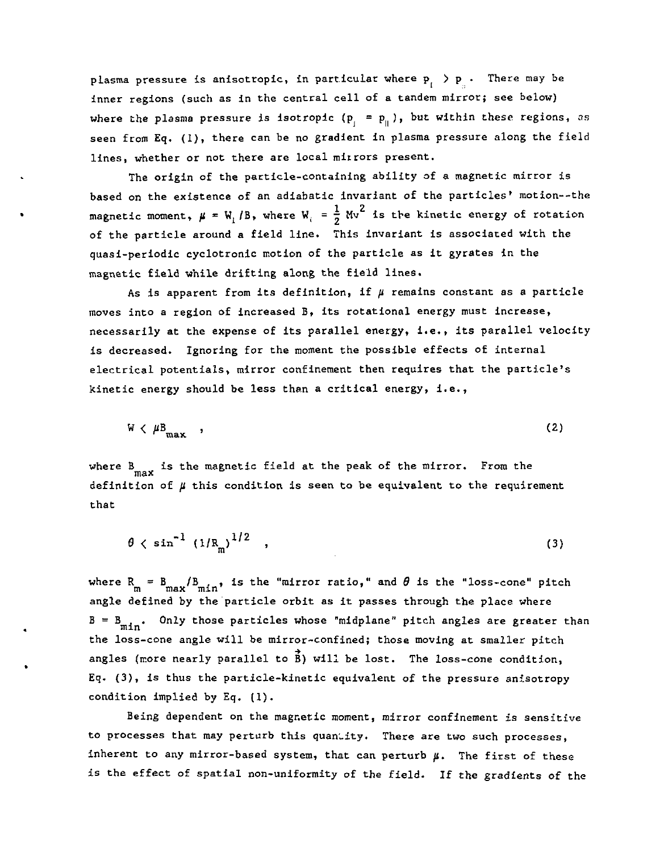plasma pressure is anisotropic, in particular where  $p_{i} > p_{i}$ . There may be inner regions (such as in the central cell of a tandem mirror; see below) where the plasma pressure is isotropic  $(p_j = p_{ij})$ , but within these regions, as seen from Eq. (1), there can be no gradient in plasma pressure along the field lines, whether or not there are local mirrors present.

The origin of the particle-containing ability of a magnetic mirror is based on the existence of an adiabatic invariant of the particles' motion--the magnetic moment,  $\mu = W$ , /B, where W<sub>i</sub> =  $\frac{1}{2}$  Mv<sup>2</sup> is the kinetic energy of rotation of the particle around a field line. This invariant is associated with the quasi-periodic cyclotronic motion of the particle as it gyrates in the magnetic field while drifting along the field lines.

As is apparent from its definition, if  $\mu$  remains constant as a particle moves into a region of increased B, its rotational energy must increase, necessarily at the expense of its parallel energy, i.e., its parallel velocity is decreased. Ignoring for the moment the possible effects of internal electrical potentials, mirror confinement then requires that the particle's kinetic energy should be less than a critical energy, i.e.,

$$
W \langle \mu_{\max}^B \rangle, \qquad (2)
$$

where B is the magnetic field at the peak of the mirror. From the max definition of *ji* this condition is seen to be equivalent to the requirement that

$$
\theta \, \leftarrow \, \sin^{-1} \, \left( \frac{1}{R_m} \right)^{1/2} \quad , \tag{3}
$$

where  $R_m = B_{max}/B_{min}$ , is the "mirror ratio," and  $\theta$  is the "loss-cone" pitch angle defined by the particle orbit as it passes through the place where  $B = B_{\min}$ . Only those particles whose "midplane" pitch angles are greater than the loss-cone angle will be mirror-confined; those moving at smaller pitch angles (more nearly parallel to  $\vec{B}$ ) will be lost. The loss-cone condition, Eq. (3), is thus the particle-kinetic equivalent of the pressure anisotropy condition implied by Eq. (1).

Being dependent on the magnetic moment, mirror confinement is sensitive to processes that may perturb this quantity. There are two such processes, inherent to any mirror-based system, that can perturb  $\mu$ . The first of these is the effect of spatial non-uniformity of the field. If the gradients of the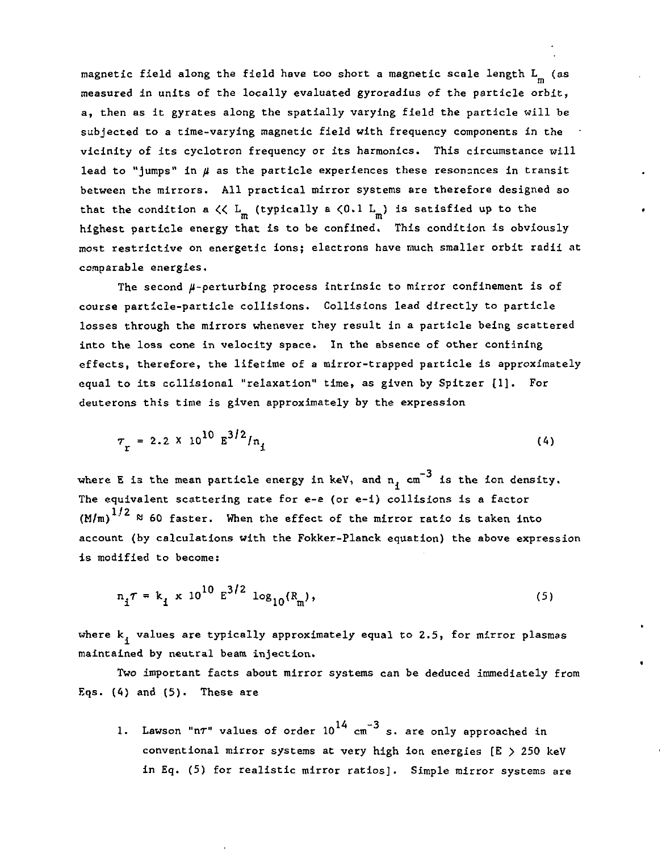magnetic field along the field have too short a magnetic scale length L<sub>n</sub> (as measured in units of the locally evaluated gyroradius of the particle orbit, a, then as it gyrates along the spatially varying field the particle will be subjected to a time-varying magnetic field with frequency components in the vicinity of its cyclotron frequency or its harmonics. This circumstance will lead to "jumps" in */i* as the particle experiences these resonances in transit between the mirrors. All practical mirror systems are therefore designed so that the condition a  $\zeta \zeta$   $\frac{L}{m}$  (typically a  $\zeta 0.1$   $\frac{L}{m}$ ) is satisfied up to the highest particle energy that is to be confined. This condition is obviously most restrictive on energetic ions; electrons have much smaller orbit radii at comparable energies.

The second  $\mu$ -perturbing process intrinsic to mirror confinement is of course particle-particle collisions. Collisions lead directly to particle losses through the mirrors whenever they result in a particle being scattered into the loss cone in velocity space. In the absence of other confining effects, therefore, the lifetime of a mirror-trapped particle is approximately equal to its collisional "relaxation" time, as given by Spitzer [1]. For deuterons this time is given approximately by the expression

$$
\tau_{\rm r} = 2.2 \times 10^{10} \, \text{g}^{3/2} / \text{n}_{\rm t} \tag{4}
$$

where E is the mean particle energy in keV, and  $_{\rm n_{1}}$  cm $^{-3}$  is the ion density. The equivalent scattering rate for e-e (or e-i) collisions is a factor  $(M/m)^{1/2}$   $\approx$  60 faster. When the effect of the mirror ratio is taken into account (by calculations with the Fokker-Planck equation) the above expression is modified to become:

$$
n_{1}\tau = k_{1} \times 10^{10} \text{ E}^{3/2} \text{ log}_{10}(R_{m}), \qquad (5)
$$

where  $k_i$  values are typically approximately equal to 2.5, for mirror plasmas maintained by neutral beam injection.

Two important facts about mirror systems can be deduced immediately from Eqs.  $(4)$  and  $(5)$ . These are

1. Lawson "n $\tau$ " values of order  $10^{14}$  cm<sup>-3</sup> s. are only approached in conventional mirror systems at very high ion energies [E > 250 keV in Eq. (5) for realistic mirror ratios]. Simple mirror systems are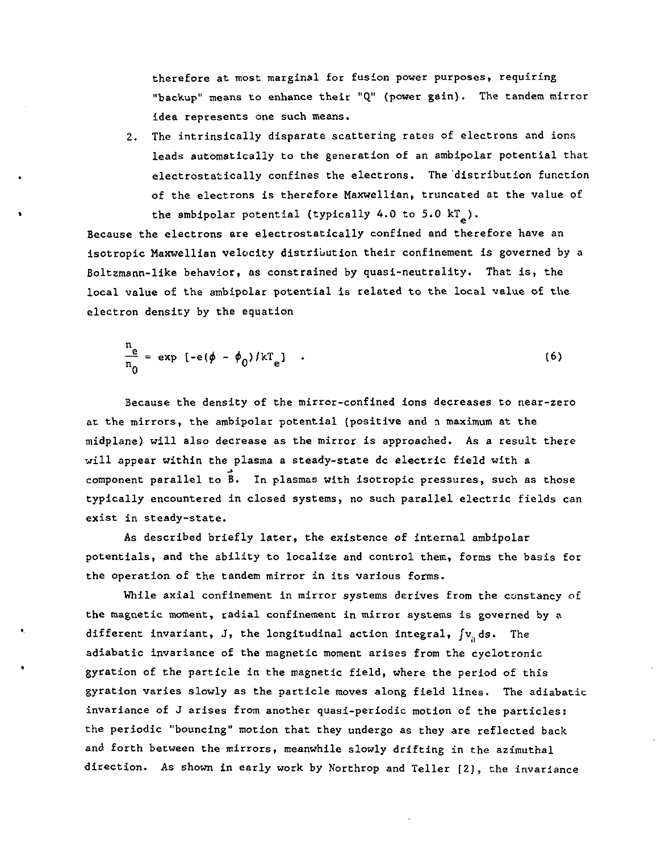therefore at most marginal for fusion power purposes, requiring "backup" means to enhance their "Q" (power gain). The tandem mirror idea represents one such means.

2. The intrinsically disparate scattering rates of electrons and ions leads automatically to the generation of an ambipolar potential that electrostatically confines the electrons. The distribution function of the electrons is therefore Maxwellian, truncated at the value of the ambipolar potential (typically 4.0 to 5.0  $kT$ ).

Because the electrons are electrostatically confined and therefore have an isotropic Maxwellian velocity distribution their confinement is governed by a Boltzmann-like behavior, as constrained by quasi-neutrality. That is, the local value of the ambipolar potential is related to the local value of the electron density by the equation

$$
\frac{n_e}{n_0} = \exp\left[-e(\phi - \phi_0)/kT_e\right] \quad . \tag{6}
$$

Because the density of the mirror-confined ions decreases to near-zero at the mirrors, the ambipolar potential (positive and a maximum at the midplane) will also decrease as the mirror is approached. As a result there will appear within the plasma a steady-state dc electric field with a component parallel to B. In plasmas with isotropic pressures, such as those typically encountered in closed systems, no such parallel electric fields can exist in steady-state.

As described briefly later, the existence of internal ambipolar potentials, and the ability to localize and control them, forms the basis for the operation of the tandem mirror in its various forms.

While axial confinement in mirror systems derives from the constancy of the magnetic moment, radial confinement in mirror systems is governed by a different invariant, J, the longitudinal action integral,  $f_{\mathbf{v}_n}$  ds. The adiabatic invariance of the magnetic moment arises from the cyclotronic gyration of the particle in the magnetic field, where the period of this gyration varies slowly as the particle moves along field lines. The adiabatic invariance of J arises from another quasi-periodic motion of the particles: the periodic "bouncing" motion that they undergo as they are reflected back and forth between the mirrors, meanwhile slowly drifting in the azimuthal direction. As shown in early work by Northrop and Teller [2], the invariance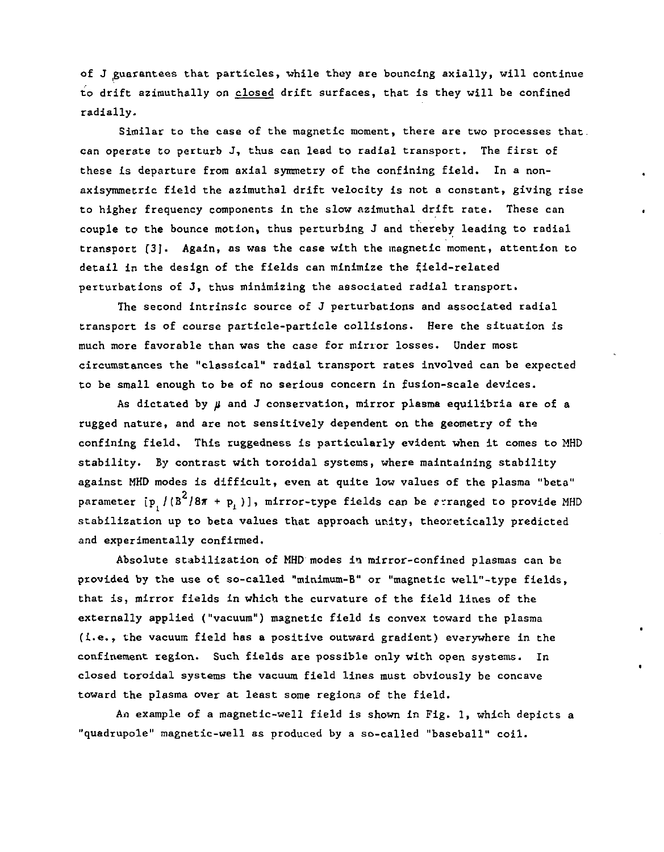of J guarantees that particles, while they are bouncing axially, will continue to drift azimuthally on closed drift surfaces, that is they will be confined radially.

Similar to the case of the magnetic moment, there are two processes that, can operate to perturb J, thus can lead to radial transport. The first of these is departure from axial symmetry of the confining field. In a nonaxisymmetric field the azimuthal drift velocity is not a constant, giving rise to higher frequency components in the slow azimuthal drift rate. These can couple to the bounce motion, thus perturbing J and thereby leading to radial transport [3]. Again, as was the case with the magnetic moment, attention to detail in the design of the fields can minimize the field-related perturbations of J, thus minimizing the associated radial transport.

The second intrinsic source of J perturbations and associated radial transport is of course particle-particle collisions. Here the situation is much more favorable than was the case for mirror losses. Under most circumstances the "classical" radial transport rates involved can be expected to be small enough to be of no serious concern in fusion-scale devices.

As dictated by *jl* and J conservation, mirror plasma equilibria are of a rugged nature, and are not sensitively dependent on the geometry of the confining field. This ruggedness is particularly evident when it comes to MHD stability. By contrast with toroidal systems, where maintaining stability against MHD modes is difficult, even at quite low values of the plasma "beta" parameter [p<sub>.</sub>/(B<sup>2</sup>/87 + p<sub>1</sub>)], mirror-type fields can be erranged to provide MHD stabilization up to beta values that approach unity, theoretically predicted and experimentally confirmed.

Absolute stabilization of MHD modes in mirror-confined plasmas can be provided by the use of so-called "minimum-B" or "magnetic well"-type fields, that is, mirror fields in which the curvature of the field lines of the externally applied ("vacuum") magnetic field is convex toward the plasma (i.e., the vacuum field has a positive outward gradient) everywhere in the confinement region. Such fields are possible only with open systems. In closed toroidal systems the vacuum field lines must obviously be concave toward the plasma over at least some regions of the field.

An example of a magnetic-well field is shown in Fig. 1, which depicts a "quadrupole" magnetic-well as produced by a so-called "baseball" coil.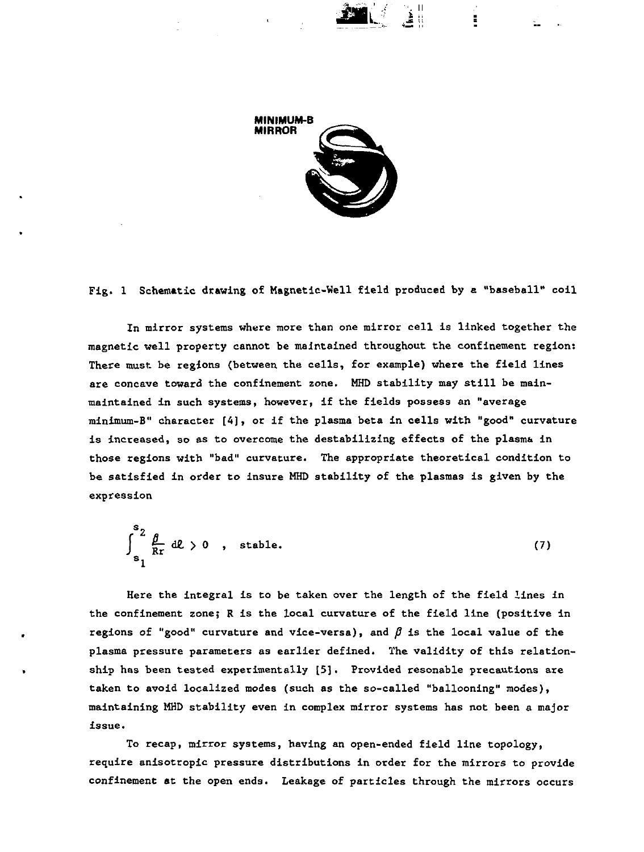

Fig. 1 Schematic drawing of Magnetic-Well field produced by a "baseball" coil

In mirror systems where more than one mirror cell is linked together the magnetic well property cannot be maintained throughout the confinement region: There must be regions (between the cells, for example) where the field lines are concave toward the confinement zone. MHD stability may still be mainmaintained in such systems, however, if the fields possess an "average minimum-B" character [4], or if the plasma beta in cells with "good" curvature is increased, so as to overcome the destabilizing effects of the plasma in those regions with "bad" curvature. The appropriate theoretical condition to be satisfied in order to insure MHD stability of the plasmas is given by the expression

$$
\int_{s_1}^{s_2} \frac{\beta}{Rr} d\ell > 0 \quad , \quad \text{stable.} \tag{7}
$$

Here the integral is to be taken over the length of the field lines in the confinement zone; R is the local curvature of the field line (positive in regions of "good" curvature and vice-versa), and  $\beta$  is the local value of the plasma pressure parameters as earlier defined. The validity of this relationship has been tested experimentally [5]. Provided resonable precautions are taken to avoid localized modes (such as the so-called "ballooning" modes), maintaining MHD stability even in complex mirror systems has not been a major issue.

To recap, mirror systems, having an open-ended field line topology, require anisotropic pressure distributions in order for the mirrors to provide confinement at the open ends. Leakage of particles through the mirrors occurs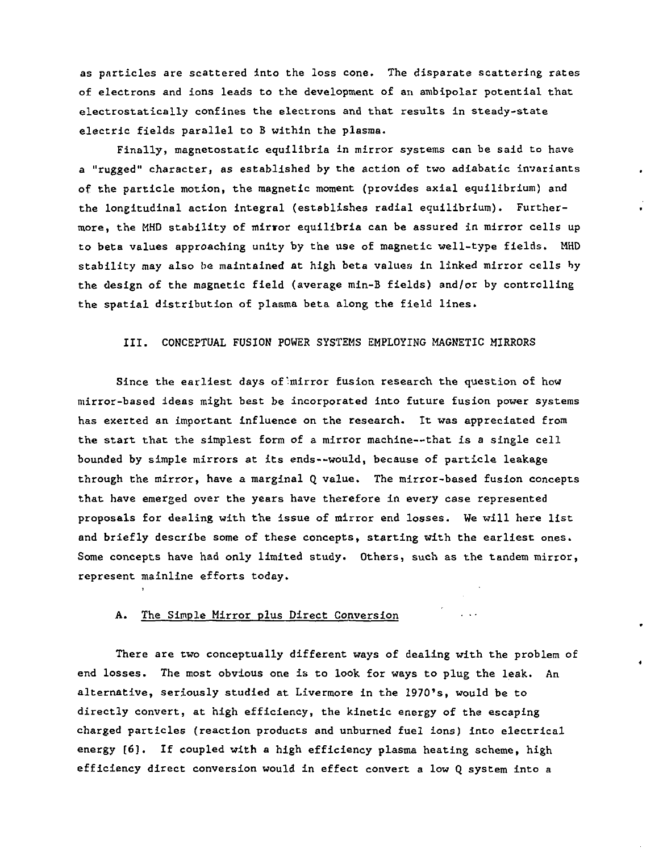as particles are scattered Into the loss cone. The disparate scattering rates of electrons and ions leads to the development of an ambipolar potential that electrostatically confines the electrons and that results in steady-state electric fields parallel to B within the plasma.

Finally, magnetostatic equilibria in mirror systems can be said to have a "rugged" character, as established by the action of two adiabatic invariants of the particle motion, the magnetic moment (provides axial equilibrium) and the longitudinal action integral (establishes radial equilibrium). Furthermore, the MHD stability of mirror equilibria can be assured in mirror cells up to beta values approaching unity by the use of magnetic well-type fields. MHD stability may also be maintained at high beta values in linked mirror cells by the design of the magnetic field (average min-B fields) and/or by controlling the spatial distribution of plasma beta along the field lines.

## III. CONCEPTUAL FUSION POWER SYSTEMS EMPLOYING MAGNETIC MIRRORS

Since the earliest days of'mirror fusion research the question of how mirror-based ideas might best be incorporated into future fusion power systems has exerted an important influence on the research. It was appreciated from the start that the simplest form of a mirror machine—that is a single cell bounded by simple mirrors at its ends—would, because of particle leakage through the mirror, have a marginal Q value. The mirror-based fusion concepts that have emerged over the years have therefore in every case represented proposals for dealing with the issue of mirror end losses. We will here list and briefly describe some of these concepts, starting with the earliest ones. Some concepts have had only limited study. Others, such as the tandem mirror, represent mainline efforts today.

#### A. The Simple Mirror plus Direct Conversion

There are two conceptually different ways of dealing with the problem of end losses. The most obvious one is to look for ways to plug the leak. An alternative, seriously studied at Livermore in the 1970's, would be to directly convert, at high efficiency, the kinetic energy of the escaping charged particles (reaction products and unburned fuel ions) into electrical energy [6]. If coupled with a high efficiency plasma heating scheme, high efficiency direct conversion would in effect convert a low Q system into a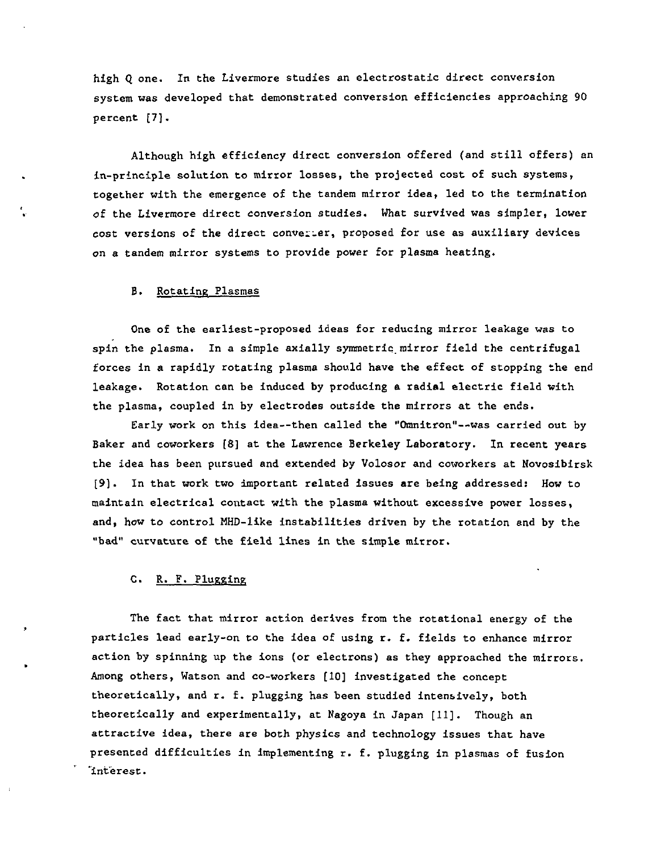high Q one. In the Livermore studies an electrostatic direct conversion system was developed that demonstrated conversion efficiencies approaching 90 percent [7].

Although high efficiency direct conversion offered (and still offers) an in-principle solution to mirror losses, the projected cost of such systems, together with the emergence of the tandem mirror idea, led to the termination of the Livermore direct conversion studies. What survived was simpler, lower cost versions of the direct convei-er, proposed for use as auxiliary devices on a tandem mirror systems to provide power for plasma heating.

#### B. Rotating Plasmas

One of the earliest-proposed ideas for reducing mirror leakage was to spin the plasma. In a simple axially symmetric mirror field the centrifugal forces in a rapidly rotating plasma should have the effect of stopping the end leakage. Rotation can be induced by producing a radial electric field with the plasma, coupled in by electrodes outside the mirrors at the ends.

Early work on this idea—then called the "Omnitron"—was carried out by Baker and coworkers [8] at the Lawrence Berkeley Laboratory. In recent years the idea has been pursued and extended by Volosor and coworkers at Novosibirsk [9]. In that work two important related issues are being addressed: How to maintain electrical contact with the plasma without excessive power losses, and, how to control MHD-like instabilities driven by the rotation and by the "bad" curvature of the field lines in the simple mirror.

#### C. R. F. Plugging

The fact that mirror action derives from the rotational energy of the particles lead early-on to the idea of using r. f. fields to enhance mirror action by spinning up the ions (or electrons) as they approached the mirrors. Among others, Watson and co-workers [10] investigated the concept theoretically, and r. f. plugging has been studied intensively, both theoretically and experimentally, at Nagoya in Japan [11]. Though an attractive idea, there are both physics and technology issues that have presented difficulties in implementing r. f. plugging in plasmas of fusion "interest.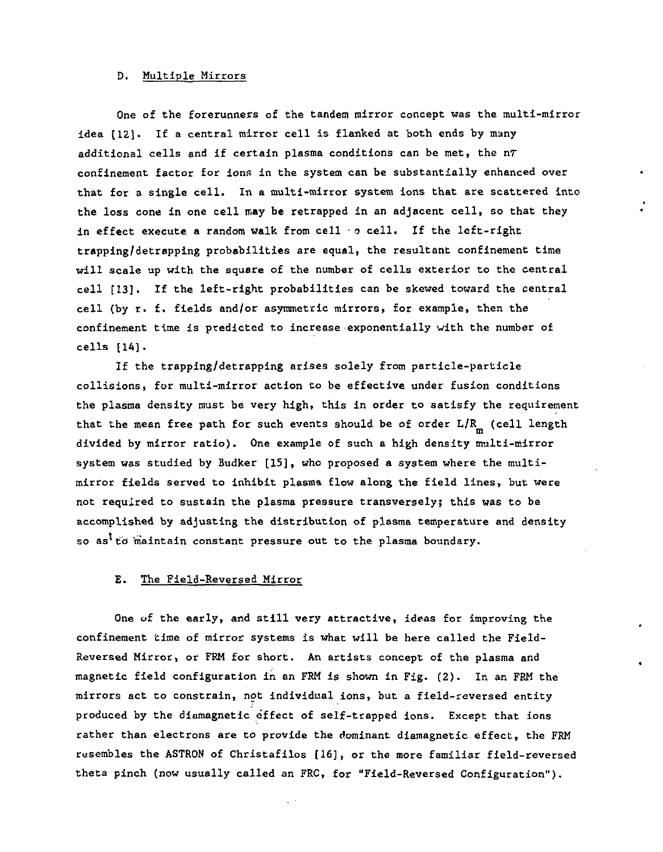#### D. Multiple Mirrors

One of the forerunners of the tandem mirror concept was the multi-mirror idea [12]. If a central mirror cell is flanked at both ends by many additional cells and if certain plasma conditions can be met, the nr confinement factor for ions in the system can be substantially enhanced over that for a single cell. In a multi-mirror system ions that are scattered into the loss cone in one cell may be retrapped in an adjacent cell, so that they in effect execute a random walk from cell • *o* cell. If the left-right trapping/detrapping probabilities are equal, the resultant confinement time will scale up with the square of the number of cells exterior to the central cell [13]. If the left-right probabilities can be skewed toward the central cell (by r. f. fields and/or asymmetric mirrors, for example, then the confinement time is predicted to Increase exponentially with the number of cells [14].

If the trapping/detrapping arises solely from particle-particle collisions, for multi-mirror action to be effective under fusion conditions the plasma density must be very high, this in order to satisfy the requirement that the mean free path for such events should be of order  $L/R_m$  (cell length divided by mirror ratio). One example of such a high density multi-mirror system was studied by Budker [15], who proposed a system where the multimirror fields served to inhibit plasma flow along the field lines, but were not required to sustain the plasma pressure transversely; this was to be accomplished by adjusting the distribution of plasma temperature and density so as<sup>t</sup> to maintain constant pressure out to the plasma boundary.

#### E. The Field-Reversed Mirror

One of the early, and still very attractive, ideas for improving the confinement time of mirror systems is what will be here called the Field-Reversed Mirror, or FRM for short. An artists concept of the plasma and magnetic field configuration in an FRM Is shown in Fig. (2). In an FRM the mirrors act to constrain, not individual ions, but a field-reversed entity produced by the diamagnetic effect of self-trapped ions. Except that ions rather than electrons are to provide the dominant diamagnetic effect, the FRM resembles the ASTRON of Christafilos [16], or the more familiar field-reversed theta pinch (now usually called an FRC, for "Field-Reversed Configuration").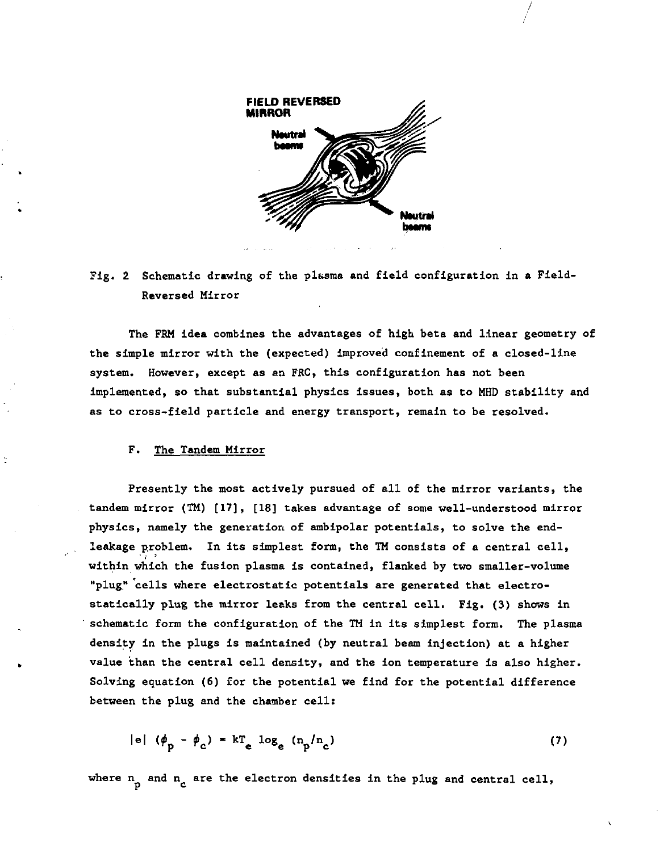

/

# **Fig. 2 Schematic drawing of the plasma and field configuration in a Field-Reversed Mirror**

**The FRM idea combines the advantages of high beta and linear geometry of the simple mirror with the (expected) improved confinement of a closed-line system. However, except as an FRC, this configuration has not been implemented, so that substantial physics issues, both as to MHD stability and as to cross-field particle and energy transport, remain to be resolved.** 

#### **F. The Tandem Mirror**

**Presently the most actively pursued of all of the mirror variants, the tandem mirror (TM) [17], [18] takes advantage of some well-understood mirror physics, namely the generation of ambipolar potentials, to solve the endleakage problem. In its simplest form, the TM consists of a central cell, within which the fusion plasma is contained, flanked by two smaller-volume**  "plug" cells where electrostatic potentials are generated that electro**statically plug the mirror leaks from the central cell. Fig. (3) shows in schematic form the configuration of the TM in its simplest form. The plasma density in the plugs is maintained (by neutral beam injection) at a higher value than the central cell density, and the ion temperature is also higher. Solving equation (6) for the potential we find for the potential difference between the plug and the chamber cell:** 

$$
|e| (\phi_p - \phi_c) = kT_e \log_e (n_p/n_c)
$$
 (7)

where n<sub>n</sub> and n<sub>c</sub> are the electron densities in the plug and central cell,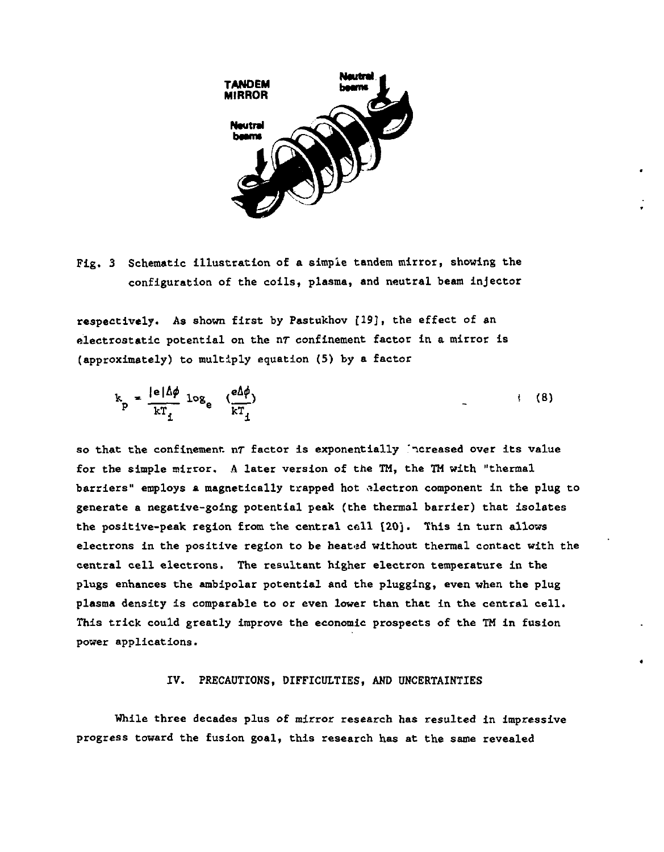

**Fig. 3 Schematic illustration of a simple tandem mirror, showing the configuration of the coils, plasma, and neutral beam injector** 

**respectively. As shown first by Pastukhov [19], the effect of an electrostatic potential on the nr confinement factor in a mirror is (approximately) to multiply equation (5) by a factor** 

$$
k_p = \frac{|e|\Delta\phi}{kT_f} \log_e \frac{e\Delta\phi}{kT_f} \tag{8}
$$

**so that the confinement nT factor is exponentially icreased over its value for the simple mirror. A later version of the TM, the TH with "thermal barriers" employs a magnetically trapped hot electron component in the plug to generate a negative-going potential peak (the thermal barrier) that isolates the positive-peak region from the central cell [20]. This in turn allows electrons in the positive region to be heated without thermal contact with the central cell electrons. The resultant higher electron temperature in the plugs enhances the ambipolar potential and the plugging, even when the plug plasma density is comparable to or even lower than that in the central cell. This trick could greatly improve the economic prospects of the TM in fusion power applications.** 

#### **IV. PRECAUTIONS, DIFFICULTIES, AND UNCERTAINTIES**

**While three decades plus of mirror research has resulted in impressive progress toward the fusion goal, this research has at the same revealed**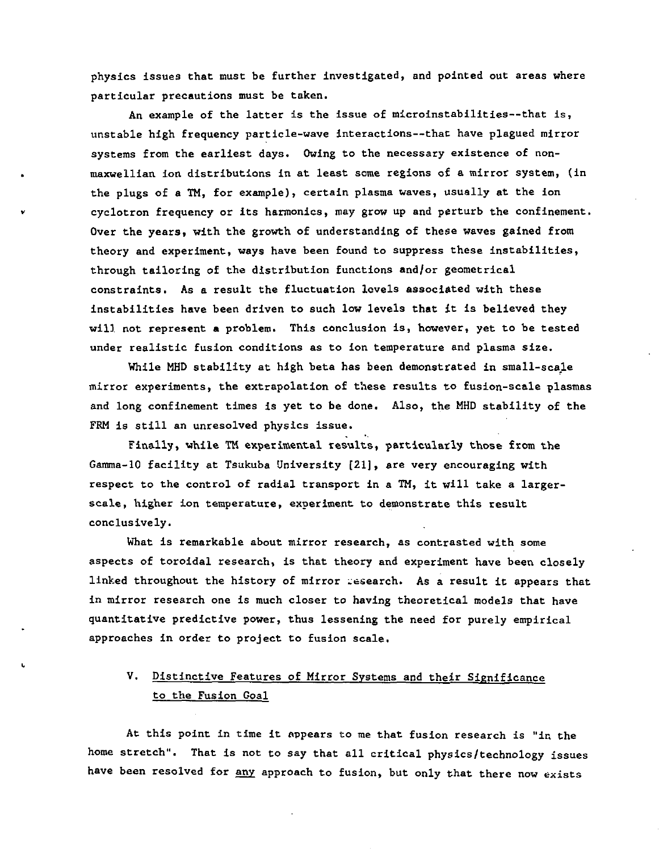physics issues that must be further investigated, and pointed out areas where particular precautions must be taken.

An example of the latter is the issue of microinstabilities—that is, unstable high frequency particle-wave interactions—that have plagued mirror systems from the earliest days. Owing to the necessary existence of nonmaxwellian ion distributions in at least some regions of a mirror system, (in the plugs of a TM, for example), certain plasma waves, usually at the ion v cyclotron frequency or its harmonics, may grow up and perturb the confinement. Over the years, with the growth of understanding of these waves gained from theory and experiment, ways have been found to suppress these instabilities, through tailoring of the distribution functions and/or geometrical constraints. As a result the fluctuation levels associated with these instabilities have been driven to such low levels that it is believed they will not represent a problem. This conclusion is, however, yet to be tested under realistic fusion conditions as to ion temperature and plasma size.

While MHD stability at high beta has been demonstrated in small-scale mirror experiments, the extrapolation of these results to fusion-scale plasmas and long confinement times is yet to be done. Also, the MHD stability of the FRM is still an unresolved physics issue.

Finally, while TM experimental results, particularly those from the Gamma-10 facility at Tsukuba University [21], are very encouraging with respect to the control of radial transport in a TM, it will take a largerscale, higher ion temperature, experiment to demonstrate this result conclusively.

What is remarkable about mirror research, as contrasted with some aspects of toroidal research, is that theory and experiment have been closely linked throughout the history of mirror research. As a result it appears that in mirror research one is much closer to having theoretical models that have quantitative predictive power, thus lessening the need for purely empirical approaches in order to project to fusion scale.

# V. Distinctive Features of Mirror Systems and their Significance to the Fusion Goal

i

At this point in time it oppears to me that fusion research is "in the home stretch". That is not to say that all critical physics/technology issues have been resolved for any approach to fusion, but only that there now exists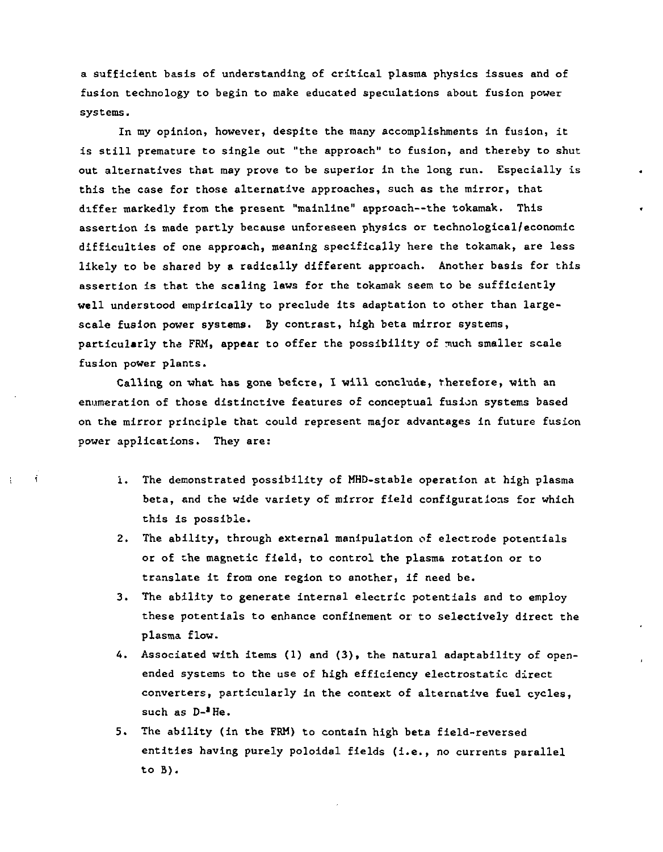a sufficient basis of understanding of critical plasma physics issues and of fusion technology to begin to make educated speculations about fusion power systems.

In my opinion, however, despite the many accomplishments in fusion, it is still premature to single out "the approach" to fusion, and thereby to shut out alternatives that may prove to be superior In the long run. Especially is this the case for those alternative approaches, such as the mirror, that differ markedly from the present "mainline" approach—the tokamak. This assertion is made partly because unforeseen physics or technological/economic difficulties of one approach, meaning specifically here the tokamak, are less likely to be shared by a radically different approach. Another basis for this assertion is that the scaling laws for the tokamak seem to be sufficiently well understood empirically to preclude its adaptation to other than largescale fusion power systems. By contrast, high beta mirror systems, particularly the FRM, appear to offer the possibility of much smaller scale fusion power plants.

Calling on what has gone befcre, I will conclude, therefore, with an enumeration of those distinctive features of conceptual fusion systems based on the mirror principle that could represent major advantages in future fusion power applications. They are:

 $\ddot{\mathbf{t}}$ 

- i. The demonstrated possibility of MHD-stable operation at high plasma beta, and the wide variety of mirror field configurations for which this is possible.
- 2. The ability, through external manipulation of electrode potentials or of the magnetic field, to control the plasma rotation or to translate it from one region to another, if need be.
- 3. The ability to generate internal electric potentials and to employ these potentials to enhance confinement or to selectively direct the plasma flow.
- 4. Associated with items (1) and (3), the natural adaptability of openended systems to the use of high efficiency electrostatic direct converters, particularly in the context of alternative fuel cycles, such as D-<sup>3</sup>He.
- 5. The ability (in the FRM) to contain high beta field-reversed entitles having purely poloidal fields (i.e., no currents parallel to B).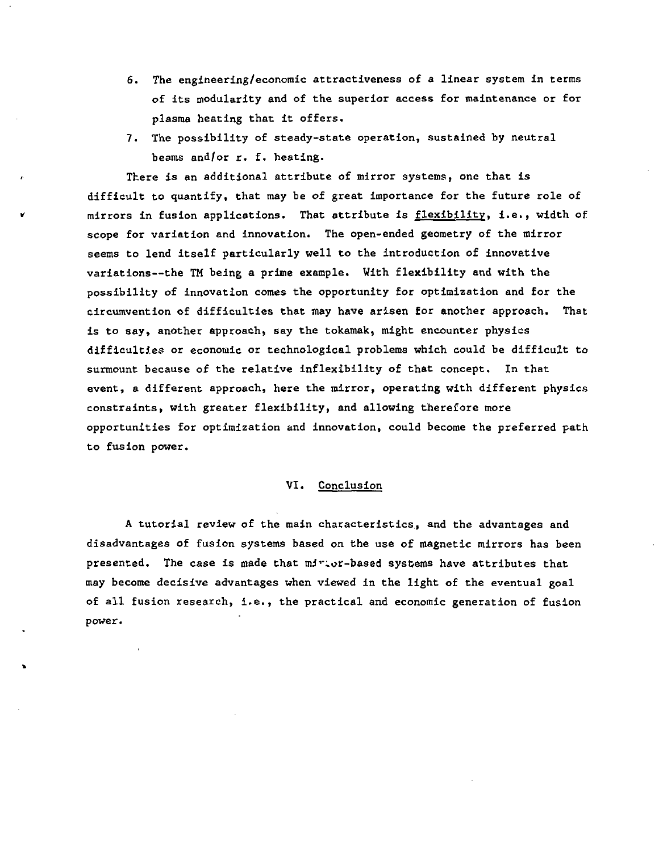- 6. The engineering/economic attractiveness of a linear system In terms of its modularity and of the superior access for maintenance or for plasma heating that it offers.
- 7. The possibility of steady-state operation, sustained by neutral beams and/or r. f. heating.

There is an additional attribute of mirror systems, one that is difficult to quantify, that may be of great importance for the future role of » mirrors in fusion applications. That attribute is flexibility, i.e., width of scope for variation and Innovation. The open-ended geometry of the mirror seems to lend itself particularly well to the Introduction of innovative variations—the TM being a prime example. With flexibility and with the possibility of innovation comes the opportunity for optimization and for the circumvention of difficulties that may have arisen for another approach. That is to say, another approach, say the tokamak, might encounter physics difficulties or economic or technological problems which could be difficult to surmount because of the relative inflexibility of that concept. In that event, a different approach, here the mirror, operating with different physics constraints, with greater flexibility, and allowing therefore more opportunities for optimization and innovation, could become the preferred path to fusion power.

### VI. Conclusion

A tutorial review of the main characteristics, and the advantages and disadvantages of fusion systems based on the use of magnetic mirrors has been presented. The case is made that mirior-based systems have attributes that may become decisive advantages when viewed in the light of the eventual goal of all fusion research, i.e., the practical and economic generation of fusion power.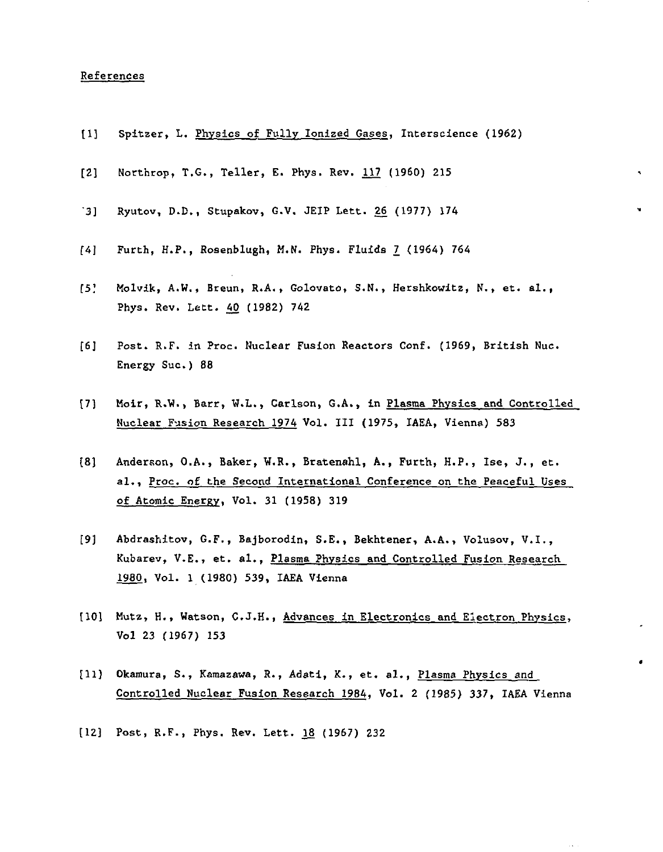#### References

- [I] Spitzer, L. Physics of Fully Ionized Gases, Intersclence (1962)
- [2] Northrop, T.G., Teller, E. Phys. Rev. 117 (1960) 215
- 3] Ryutov, D.D., Stupakov, G.V. JEIP Lett. 26 (1977) 174
- [4] Furth, H.P., Rosenblugh, M.N. Phys. Fluids 7 (1964) 764
- [5.' Molvik, A.W., Breun, R.A., Golovato, S.N., Hershkowitz, N., et. al., Phys. Rev. Lett. 40 (1982) 742
- [6] Post. R.F. in Proc. Nuclear Fusion Reactors Conf. (1969, British Nuc. Energy Sue.) 88
- [7] Moir, R.W., Barr, W.L., Carlson, G.A., in Plasma Physics and Controlled Nuclear Fusion Research 1974 Vol. Ill (1975, IAEA, Vienna) 583
- [8) Anderson, O.A., Baker, W.R., Bratenahl, A., Furth, H.P., Ise, J., et. al., Proc. of the Second International Conference on the Peaceful Uses of Atomic Energy, Vol. 31 (1958) 319
- [9] Abdrashitov, G.F., Bajborodin, S.E., Bekhtener, A.A., Volusov, V.I., Kubarev, V.E., et. al., Plasma Physics and Controlled Fusion Research 1980, Vol. 1 (1980) 539, IAEA Vienna
- [10] Mutz, H., Watson, C.J.H., Advances in Electronics and Electron Physics, Vol 23 (1967) 153
- [II] Okamura, S., Kamazawa, R., Adati, K., et. al., Plasma Physics and Controlled Nuclear Fusion Research 1984, Vol. 2 (1985) 337, IAEA Vienna
- [12] Post, R.F., Phys. Rev. Lett. 18 (1967) 232